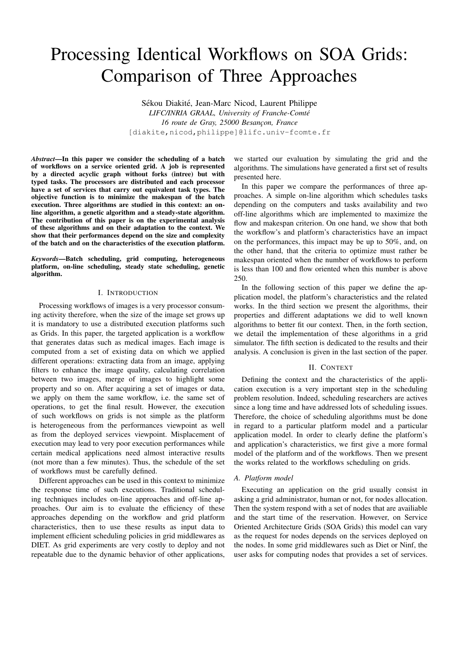# Processing Identical Workflows on SOA Grids: Comparison of Three Approaches

Sékou Diakité, Jean-Marc Nicod, Laurent Philippe *LIFC/INRIA GRAAL, University of Franche-Comte´* 16 route de Gray, 25000 Besançon, France [diakite,nicod,philippe]@lifc.univ-fcomte.fr

*Abstract*—In this paper we consider the scheduling of a batch of workflows on a service oriented grid. A job is represented by a directed acyclic graph without forks (intree) but with typed tasks. The processors are distributed and each processor have a set of services that carry out equivalent task types. The objective function is to minimize the makespan of the batch execution. Three algorithms are studied in this context: an online algorithm, a genetic algorithm and a steady-state algorithm. The contribution of this paper is on the experimental analysis of these algorithms and on their adaptation to the context. We show that their performances depend on the size and complexity of the batch and on the characteristics of the execution platform.

*Keywords*—Batch scheduling, grid computing, heterogeneous platform, on-line scheduling, steady state scheduling, genetic algorithm.

## I. INTRODUCTION

Processing workflows of images is a very processor consuming activity therefore, when the size of the image set grows up it is mandatory to use a distributed execution platforms such as Grids. In this paper, the targeted application is a workflow that generates datas such as medical images. Each image is computed from a set of existing data on which we applied different operations: extracting data from an image, applying filters to enhance the image quality, calculating correlation between two images, merge of images to highlight some property and so on. After acquiring a set of images or data, we apply on them the same workflow, i.e. the same set of operations, to get the final result. However, the execution of such workflows on grids is not simple as the platform is heterogeneous from the performances viewpoint as well as from the deployed services viewpoint. Misplacement of execution may lead to very poor execution performances while certain medical applications need almost interactive results (not more than a few minutes). Thus, the schedule of the set of workflows must be carefully defined.

Different approaches can be used in this context to minimize the response time of such executions. Traditional scheduling techniques includes on-line approaches and off-line approaches. Our aim is to evaluate the efficiency of these approaches depending on the workflow and grid platform characteristics, then to use these results as input data to implement efficient scheduling policies in grid middlewares as DIET. As grid experiments are very costly to deploy and not repeatable due to the dynamic behavior of other applications,

we started our evaluation by simulating the grid and the algorithms. The simulations have generated a first set of results presented here.

In this paper we compare the performances of three approaches. A simple on-line algorithm which schedules tasks depending on the computers and tasks availability and two off-line algorithms which are implemented to maximize the flow and makespan criterion. On one hand, we show that both the workflow's and platform's characteristics have an impact on the performances, this impact may be up to 50%, and, on the other hand, that the criteria to optimize must rather be makespan oriented when the number of workflows to perform is less than 100 and flow oriented when this number is above 250.

In the following section of this paper we define the application model, the platform's characteristics and the related works. In the third section we present the algorithms, their properties and different adaptations we did to well known algorithms to better fit our context. Then, in the forth section, we detail the implementation of these algorithms in a grid simulator. The fifth section is dedicated to the results and their analysis. A conclusion is given in the last section of the paper.

#### II. CONTEXT

Defining the context and the characteristics of the application execution is a very important step in the scheduling problem resolution. Indeed, scheduling researchers are actives since a long time and have addressed lots of scheduling issues. Therefore, the choice of scheduling algorithms must be done in regard to a particular platform model and a particular application model. In order to clearly define the platform's and application's characteristics, we first give a more formal model of the platform and of the workflows. Then we present the works related to the workflows scheduling on grids.

#### *A. Platform model*

Executing an application on the grid usually consist in asking a grid administrator, human or not, for nodes allocation. Then the system respond with a set of nodes that are availiable and the start time of the reservation. However, on Service Oriented Architecture Grids (SOA Grids) this model can vary as the request for nodes depends on the services deployed on the nodes. In some grid middlewares such as Diet or Ninf, the user asks for computing nodes that provides a set of services.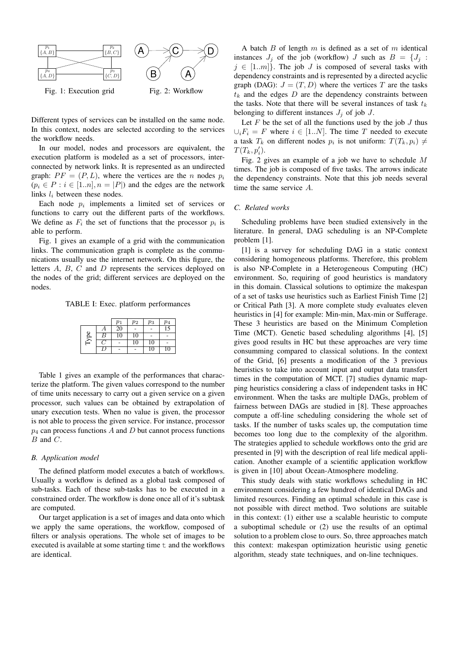

Different types of services can be installed on the same node. In this context, nodes are selected according to the services the workflow needs.

In our model, nodes and processors are equivalent, the execution platform is modeled as a set of processors, interconnected by network links. It is represented as an undirected graph:  $PF = (P, L)$ , where the vertices are the n nodes  $p_i$  $(p_i \in P : i \in [1..n], n = |P|)$  and the edges are the network links  $l_i$  between these nodes.

Each node  $p_i$  implements a limited set of services or functions to carry out the different parts of the workflows. We define as  $F_i$  the set of functions that the processor  $p_i$  is able to perform.

Fig. 1 gives an example of a grid with the communication links. The communication graph is complete as the communications usually use the internet network. On this figure, the letters A, B, C and D represents the services deployed on the nodes of the grid; different services are deployed on the nodes.

TABLE I: Exec. platform performances

|      |   | $p_1$           | $p_2$ | $p_3$ | $\,p_4$         |
|------|---|-----------------|-------|-------|-----------------|
|      |   | $2\overline{0}$ |       |       | $\overline{15}$ |
| lype | B | 10              | 10    |       |                 |
|      |   |                 | 10    | 10    |                 |
|      |   |                 |       | 10    | 10              |

Table 1 gives an example of the performances that characterize the platform. The given values correspond to the number of time units necessary to carry out a given service on a given processor, such values can be obtained by extrapolation of unary execution tests. When no value is given, the processor is not able to process the given service. For instance, processor  $p_4$  can process functions A and D but cannot process functions  $B$  and  $C$ .

# *B. Application model*

The defined platform model executes a batch of workflows. Usually a workflow is defined as a global task composed of sub-tasks. Each of these sub-tasks has to be executed in a constrained order. The workflow is done once all of it's subtask are computed.

Our target application is a set of images and data onto which we apply the same operations, the workflow, composed of filters or analysis operations. The whole set of images to be executed is available at some starting time  $t$  and the workflows are identical.

A batch  $B$  of length  $m$  is defined as a set of  $m$  identical instances  $J_i$  of the job (workflow) J such as  $B = \{J_i :$  $j \in [1..m]$ . The job J is composed of several tasks with dependency constraints and is represented by a directed acyclic graph (DAG):  $J = (T, D)$  where the vertices T are the tasks  $t_k$  and the edges D are the dependency constraints between the tasks. Note that there will be several instances of task  $t_k$ belonging to different instances  $J_j$  of job  $J$ .

Let  $F$  be the set of all the functions used by the job  $J$  thus  $\bigcup_i F_i = F$  where  $i \in [1..N]$ . The time T needed to execute a task  $T_k$  on different nodes  $p_i$  is not uniform:  $T(T_k, p_i) \neq$  $T(T_k, p'_i).$ 

Fig. 2 gives an example of a job we have to schedule M times. The job is composed of five tasks. The arrows indicate the dependency constraints. Note that this job needs several time the same service A.

## *C. Related works*

Scheduling problems have been studied extensively in the literature. In general, DAG scheduling is an NP-Complete problem [1].

[1] is a survey for scheduling DAG in a static context considering homogeneous platforms. Therefore, this problem is also NP-Complete in a Heterogeneous Computing (HC) environment. So, requiring of good heuristics is mandatory in this domain. Classical solutions to optimize the makespan of a set of tasks use heuristics such as Earliest Finish Time [2] or Critical Path [3]. A more complete study evaluates eleven heuristics in [4] for example: Min-min, Max-min or Sufferage. These 3 heuristics are based on the Minimum Completion Time (MCT). Genetic based scheduling algorithms [4], [5] gives good results in HC but these approaches are very time consumming compared to classical solutions. In the context of the Grid, [6] presents a modification of the 3 previous heuristics to take into account input and output data transfert times in the computation of MCT. [7] studies dynamic mapping heuristics considering a class of independent tasks in HC environment. When the tasks are multiple DAGs, problem of fairness between DAGs are studied in [8]. These approaches compute a off-line scheduling considering the whole set of tasks. If the number of tasks scales up, the computation time becomes too long due to the complexity of the algorithm. The strategies applied to schedule workflows onto the grid are presented in [9] with the description of real life medical application. Another example of a scientific application workflow is given in [10] about Ocean-Atmosphere modeling.

This study deals with static workflows scheduling in HC environment considering a few hundred of identical DAGs and limited resources. Finding an optimal schedule in this case is not possible with direct method. Two solutions are suitable in this context: (1) either use a scalable heuristic to compute a suboptimal schedule or (2) use the results of an optimal solution to a problem close to ours. So, three approaches match this context: makespan optimization heuristic using genetic algorithm, steady state techniques, and on-line techniques.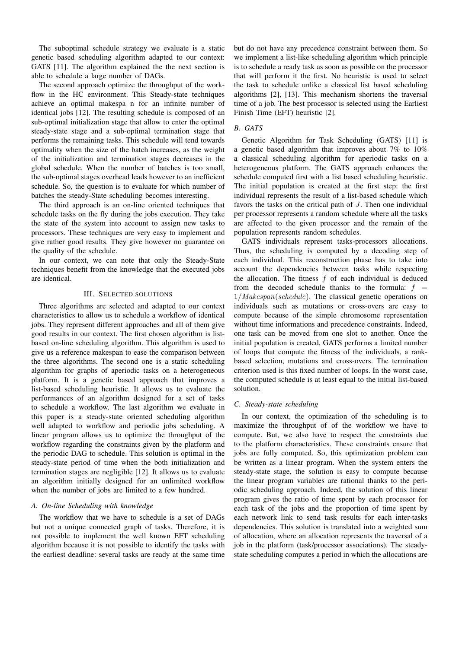The suboptimal schedule strategy we evaluate is a static genetic based scheduling algorithm adapted to our context: GATS [11]. The algorithm explained the the next section is able to schedule a large number of DAGs.

The second approach optimize the throughput of the workflow in the HC environment. This Steady-state techniques achieve an optimal makespa n for an infinite number of identical jobs [12]. The resulting schedule is composed of an sub-optimal initialization stage that allow to enter the optimal steady-state stage and a sub-optimal termination stage that performs the remaining tasks. This schedule will tend towards optimality when the size of the batch increases, as the weight of the initialization and termination stages decreases in the global schedule. When the number of batches is too small, the sub-optimal stages overhead leads however to an inefficient schedule. So, the question is to evaluate for which number of batches the steady-State scheduling becomes interesting.

The third approach is an on-line oriented techniques that schedule tasks on the fly during the jobs execution. They take the state of the system into account to assign new tasks to processors. These techniques are very easy to implement and give rather good results. They give however no guarantee on the quality of the schedule.

In our context, we can note that only the Steady-State techniques benefit from the knowledge that the executed jobs are identical.

## III. SELECTED SOLUTIONS

Three algorithms are selected and adapted to our context characteristics to allow us to schedule a workflow of identical jobs. They represent different approaches and all of them give good results in our context. The first chosen algorithm is listbased on-line scheduling algorithm. This algorithm is used to give us a reference makespan to ease the comparison between the three algorithms. The second one is a static scheduling algorithm for graphs of aperiodic tasks on a heterogeneous platform. It is a genetic based approach that improves a list-based scheduling heuristic. It allows us to evaluate the performances of an algorithm designed for a set of tasks to schedule a workflow. The last algorithm we evaluate in this paper is a steady-state oriented scheduling algorithm well adapted to workflow and periodic jobs scheduling. A linear program allows us to optimize the throughput of the workflow regarding the constraints given by the platform and the periodic DAG to schedule. This solution is optimal in the steady-state period of time when the both initialization and termination stages are negligible [12]. It allows us to evaluate an algorithm initially designed for an unlimited workflow when the number of jobs are limited to a few hundred.

# *A. On-line Scheduling with knowledge*

The workflow that we have to schedule is a set of DAGs but not a unique connected graph of tasks. Therefore, it is not possible to implement the well known EFT scheduling algorithm because it is not possible to identify the tasks with the earliest deadline: several tasks are ready at the same time

but do not have any precedence constraint between them. So we implement a list-like scheduling algorithm which principle is to schedule a ready task as soon as possible on the processor that will perform it the first. No heuristic is used to select the task to schedule unlike a classical list based scheduling algorithms [2], [13]. This mechanism shortens the traversal time of a job. The best processor is selected using the Earliest Finish Time (EFT) heuristic [2].

## *B. GATS*

Genetic Algorithm for Task Scheduling (GATS) [11] is a genetic based algorithm that improves about 7% to 10% a classical scheduling algorithm for aperiodic tasks on a heterogeneous platform. The GATS approach enhances the schedule computed first with a list based scheduling heuristic. The initial population is created at the first step: the first individual represents the result of a list-based schedule which favors the tasks on the critical path of J. Then one individual per processor represents a random schedule where all the tasks are affected to the given processor and the remain of the population represents random schedules.

GATS individuals represent tasks-processors allocations. Thus, the scheduling is computed by a decoding step of each individual. This reconstruction phase has to take into account the dependencies between tasks while respecting the allocation. The fitness  $f$  of each individual is deduced from the decoded schedule thanks to the formula:  $f =$ 1/Makespan(schedule). The classical genetic operations on individuals such as mutations or cross-overs are easy to compute because of the simple chromosome representation without time informations and precedence constraints. Indeed, one task can be moved from one slot to another. Once the initial population is created, GATS performs a limited number of loops that compute the fitness of the individuals, a rankbased selection, mutations and cross-overs. The termination criterion used is this fixed number of loops. In the worst case, the computed schedule is at least equal to the initial list-based solution.

#### *C. Steady-state scheduling*

In our context, the optimization of the scheduling is to maximize the throughput of of the workflow we have to compute. But, we also have to respect the constraints due to the platform characteristics. These constraints ensure that jobs are fully computed. So, this optimization problem can be written as a linear program. When the system enters the steady-state stage, the solution is easy to compute because the linear program variables are rational thanks to the periodic scheduling approach. Indeed, the solution of this linear program gives the ratio of time spent by each processor for each task of the jobs and the proportion of time spent by each network link to send task results for each inter-tasks dependencies. This solution is translated into a weighted sum of allocation, where an allocation represents the traversal of a job in the platform (task/processor associations). The steadystate scheduling computes a period in which the allocations are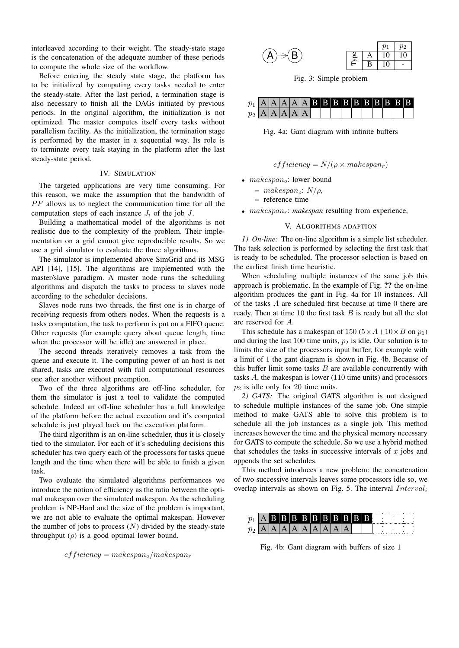interleaved according to their weight. The steady-state stage is the concatenation of the adequate number of these periods to compute the whole size of the workflow.

Before entering the steady state stage, the platform has to be initialized by computing every tasks needed to enter the steady-state. After the last period, a termination stage is also necessary to finish all the DAGs initiated by previous periods. In the original algorithm, the initialization is not optimized. The master computes itself every tasks without parallelism facility. As the initialization, the termination stage is performed by the master in a sequential way. Its role is to terminate every task staying in the platform after the last steady-state period.

## IV. SIMULATION

The targeted applications are very time consuming. For this reason, we make the assumption that the bandwidth of  $PF$  allows us to neglect the communication time for all the computation steps of each instance  $J_i$  of the job  $J$ .

Building a mathematical model of the algorithms is not realistic due to the complexity of the problem. Their implementation on a grid cannot give reproducible results. So we use a grid simulator to evaluate the three algorithms.

The simulator is implemented above SimGrid and its MSG API [14], [15]. The algorithms are implemented with the master/slave paradigm. A master node runs the scheduling algorithms and dispatch the tasks to process to slaves node according to the scheduler decisions.

Slaves node runs two threads, the first one is in charge of receiving requests from others nodes. When the requests is a tasks computation, the task to perform is put on a FIFO queue. Other requests (for example query about queue length, time when the processor will be idle) are answered in place.

The second threads iteratively removes a task from the queue and execute it. The computing power of an host is not shared, tasks are executed with full computational resources one after another without preemption.

Two of the three algorithms are off-line scheduler, for them the simulator is just a tool to validate the computed schedule. Indeed an off-line scheduler has a full knowledge of the platform before the actual execution and it's computed schedule is just played back on the execution platform.

The third algorithm is an on-line scheduler, thus it is closely tied to the simulator. For each of it's scheduling decisions this scheduler has two query each of the processors for tasks queue length and the time when there will be able to finish a given task.

Two evaluate the simulated algorithms performances we introduce the notion of efficiency as the ratio between the optimal makespan over the simulated makespan. As the scheduling problem is NP-Hard and the size of the problem is important, we are not able to evaluate the optimal makespan. However the number of jobs to process  $(N)$  divided by the steady-state throughput  $(\rho)$  is a good optimal lower bound.

 $efficiency = makespan_0/makespan_r$ 

|                       |  |                      | $p_1$   $p_2$         |
|-----------------------|--|----------------------|-----------------------|
| $(A) \rightarrow (B)$ |  |                      | $\beta$   A   10   10 |
|                       |  | $F \mid B \mid 10$ - |                       |

Fig. 3: Simple problem

| $p_2$ $A$ $A$ $A$ $A$ $A$ |  |  |  |  |  |  |  |  |
|---------------------------|--|--|--|--|--|--|--|--|

Fig. 4a: Gant diagram with infinite buffers

 $efficiency = N/(\rho \times makespan_r)$ 

- $makespan_{\alpha}$ : lower bound
	- $-$  makespan<sub>o</sub>:  $N/\rho$ ,

– reference time

•  $makespan<sub>r</sub>: makespan resulting from experience,$ 

### V. ALGORITHMS ADAPTION

*1) On-line:* The on-line algorithm is a simple list scheduler. The task selection is performed by selecting the first task that is ready to be scheduled. The processor selection is based on the earliest finish time heuristic.

When scheduling multiple instances of the same job this approach is problematic. In the example of Fig. ?? the on-line algorithm produces the gant in Fig. 4a for 10 instances. All of the tasks A are scheduled first because at time 0 there are ready. Then at time  $10$  the first task  $B$  is ready but all the slot are reserved for A.

This schedule has a makespan of 150 ( $5 \times A + 10 \times B$  on  $p_1$ ) and during the last 100 time units,  $p_2$  is idle. Our solution is to limits the size of the processors input buffer, for example with a limit of 1 the gant diagram is shown in Fig. 4b. Because of this buffer limit some tasks  $B$  are available concurrently with tasks A, the makespan is lower (110 time units) and processors  $p_2$  is idle only for 20 time units.

*2) GATS:* The original GATS algorithm is not designed to schedule multiple instances of the same job. One simple method to make GATS able to solve this problem is to schedule all the job instances as a single job. This method increases however the time and the physical memory necessary for GATS to compute the schedule. So we use a hybrid method that schedules the tasks in successive intervals of  $x$  jobs and appends the set schedules.

This method introduces a new problem: the concatenation of two successive intervals leaves some processors idle so, we overlap intervals as shown on Fig. 5. The interval  $Interval_i$ 



Fig. 4b: Gant diagram with buffers of size 1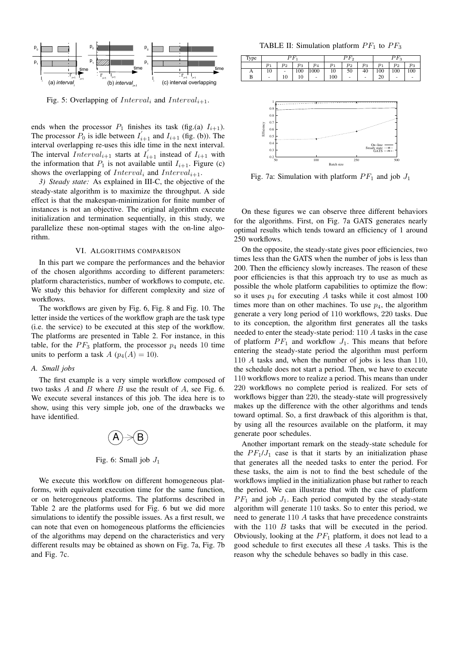

Fig. 5: Overlapping of  $Interval_i$  and  $Interval_{i+1}$ .

ends when the processor  $P_1$  finishes its task (fig.(a)  $I_{i+1}$ ). The processor  $P_0$  is idle between  $I_{i+1}$  and  $I_{i+1}$  (fig. (b)). The interval overlapping re-uses this idle time in the next interval. The interval  $Interval_{i+1}$  starts at  $I_{i+1}'$  instead of  $I_{i+1}$  with the information that  $P_1$  is not available until  $I_{i+1}$ . Figure (c) shows the overlapping of  $Interval_i$  and  $Interval_{i+1}$ .

*3) Steady state:* As explained in III-C, the objective of the steady-state algorithm is to maximize the throughput. A side effect is that the makespan-minimization for finite number of instances is not an objective. The original algorithm execute initialization and termination sequentially, in this study, we parallelize these non-optimal stages with the on-line algorithm.

### VI. ALGORITHMS COMPARISON

In this part we compare the performances and the behavior of the chosen algorithms according to different parameters: platform characteristics, number of workflows to compute, etc. We study this behavior for different complexity and size of workflows.

The workflows are given by Fig. 6, Fig. 8 and Fig. 10. The letter inside the vertices of the workflow graph are the task type (i.e. the service) to be executed at this step of the workflow. The platforms are presented in Table 2. For instance, in this table, for the  $PF_3$  platform, the processor  $p_4$  needs 10 time units to perform a task  $A$  ( $p_4(A) = 10$ ).

### *A. Small jobs*

The first example is a very simple workflow composed of two tasks  $A$  and  $B$  where  $B$  use the result of  $A$ , see Fig. 6. We execute several instances of this job. The idea here is to show, using this very simple job, one of the drawbacks we have identified.



Fig. 6: Small job  $J_1$ 

We execute this workflow on different homogeneous platforms, with equivalent execution time for the same function, or on heterogeneous platforms. The platforms described in Table 2 are the platforms used for Fig. 6 but we did more simulations to identify the possible issues. As a first result, we can note that even on homogeneous platforms the efficiencies of the algorithms may depend on the characteristics and very different results may be obtained as shown on Fig. 7a, Fig. 7b and Fig. 7c.

TABLE II: Simulation platform  $PF_1$  to  $PF_3$ 

| Type |       |       | $P_{1}$ |                | $PF_2$ |       |       | $P_{1}P_{3}$   |                          |       |
|------|-------|-------|---------|----------------|--------|-------|-------|----------------|--------------------------|-------|
|      | $p_1$ | $p_2$ | $p_3$   | p <sub>4</sub> | $p_1$  | $p_2$ | $p_3$ | v <sub>1</sub> | $p_2$                    | $p_3$ |
| А    | 10    | ۰     | 100     | 1000           | 10     | 50    | 40    | 100            | 100                      | 100   |
| B    | ٠     | 10    | 10      | ٠              | 100    | ٠     | ٠     | 20             | $\overline{\phantom{a}}$ | -     |



Fig. 7a: Simulation with platform  $PF_1$  and job  $J_1$ 

On these figures we can observe three different behaviors for the algorithms. First, on Fig. 7a GATS generates nearly optimal results which tends toward an efficiency of 1 around 250 workflows.

On the opposite, the steady-state gives poor efficiencies, two times less than the GATS when the number of jobs is less than 200. Then the efficiency slowly increases. The reason of these poor efficiencies is that this approach try to use as much as possible the whole platform capabilities to optimize the flow: so it uses  $p_4$  for executing A tasks while it cost almost 100 times more than on other machines. To use  $p_4$ , the algorithm generate a very long period of 110 workflows, 220 tasks. Due to its conception, the algorithm first generates all the tasks needed to enter the steady-state period: 110 A tasks in the case of platform  $PF_1$  and workflow  $J_1$ . This means that before entering the steady-state period the algorithm must perform 110 A tasks and, when the number of jobs is less than 110, the schedule does not start a period. Then, we have to execute 110 workflows more to realize a period. This means than under 220 workflows no complete period is realized. For sets of workflows bigger than 220, the steady-state will progressively makes up the difference with the other algorithms and tends toward optimal. So, a first drawback of this algorithm is that, by using all the resources available on the platform, it may generate poor schedules.

Another important remark on the steady-state schedule for the  $PF_1/J_1$  case is that it starts by an initialization phase that generates all the needed tasks to enter the period. For these tasks, the aim is not to find the best schedule of the workflows implied in the initialization phase but rather to reach the period. We can illustrate that with the case of platform  $PF_1$  and job  $J_1$ . Each period computed by the steady-state algorithm will generate 110 tasks. So to enter this period, we need to generate 110 A tasks that have precedence constraints with the 110 B tasks that will be executed in the period. Obviously, looking at the  $PF_1$  platform, it does not lead to a good schedule to first executes all these A tasks. This is the reason why the schedule behaves so badly in this case.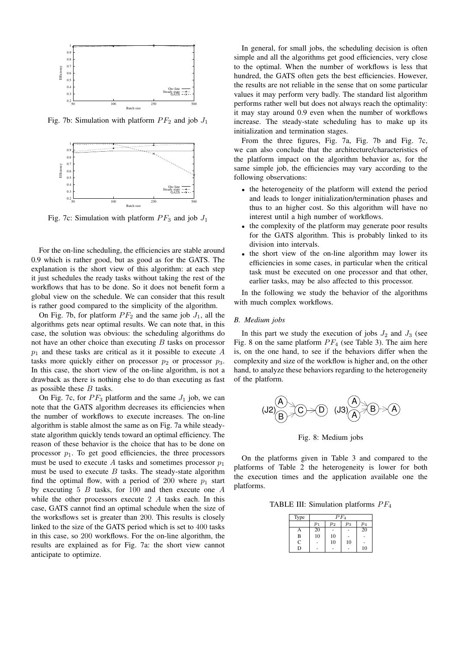

Fig. 7b: Simulation with platform  $PF_2$  and job  $J_1$ 



Fig. 7c: Simulation with platform  $PF_3$  and job  $J_1$ 

For the on-line scheduling, the efficiencies are stable around 0.9 which is rather good, but as good as for the GATS. The explanation is the short view of this algorithm: at each step it just schedules the ready tasks without taking the rest of the workflows that has to be done. So it does not benefit form a global view on the schedule. We can consider that this result is rather good compared to the simplicity of the algorithm.

On Fig. 7b, for platform  $PF_2$  and the same job  $J_1$ , all the algorithms gets near optimal results. We can note that, in this case, the solution was obvious: the scheduling algorithms do not have an other choice than executing B tasks on processor  $p_1$  and these tasks are critical as it it possible to execute A tasks more quickly either on processor  $p_2$  or processor  $p_3$ . In this case, the short view of the on-line algorithm, is not a drawback as there is nothing else to do than executing as fast as possible these  $B$  tasks.

On Fig. 7c, for  $PF_3$  platform and the same  $J_1$  job, we can note that the GATS algorithm decreases its efficiencies when the number of workflows to execute increases. The on-line algorithm is stable almost the same as on Fig. 7a while steadystate algorithm quickly tends toward an optimal efficiency. The reason of these behavior is the choice that has to be done on processor  $p_1$ . To get good efficiencies, the three processors must be used to execute A tasks and sometimes processor  $p_1$ must be used to execute  $B$  tasks. The steady-state algorithm find the optimal flow, with a period of 200 where  $p_1$  start by executing  $5 \, B$  tasks, for 100 and then execute one  $A$ while the other processors execute 2 A tasks each. In this case, GATS cannot find an optimal schedule when the size of the worksflows set is greater than 200. This results is closely linked to the size of the GATS period which is set to 400 tasks in this case, so 200 workflows. For the on-line algorithm, the results are explained as for Fig. 7a: the short view cannot anticipate to optimize.

In general, for small jobs, the scheduling decision is often simple and all the algorithms get good efficiencies, very close to the optimal. When the number of workflows is less that hundred, the GATS often gets the best efficiencies. However, the results are not reliable in the sense that on some particular values it may perform very badly. The standard list algorithm performs rather well but does not always reach the optimality: it may stay around 0.9 even when the number of workflows increase. The steady-state scheduling has to make up its initialization and termination stages.

From the three figures, Fig. 7a, Fig. 7b and Fig. 7c, we can also conclude that the architecture/characteristics of the platform impact on the algorithm behavior as, for the same simple job, the efficiencies may vary according to the following observations:

- the heterogeneity of the platform will extend the period and leads to longer initialization/termination phases and thus to an higher cost. So this algorithm will have no interest until a high number of workflows.
- the complexity of the platform may generate poor results for the GATS algorithm. This is probably linked to its division into intervals.
- the short view of the on-line algorithm may lower its efficiencies in some cases, in particular when the critical task must be executed on one processor and that other, earlier tasks, may be also affected to this processor.

In the following we study the behavior of the algorithms with much complex workflows.

#### *B. Medium jobs*

In this part we study the execution of jobs  $J_2$  and  $J_3$  (see Fig. 8 on the same platform  $PF_4$  (see Table 3). The aim here is, on the one hand, to see if the behaviors differ when the complexity and size of the workflow is higher and, on the other hand, to analyze these behaviors regarding to the heterogeneity of the platform.



Fig. 8: Medium jobs

On the platforms given in Table 3 and compared to the platforms of Table 2 the heterogeneity is lower for both the execution times and the application available one the platforms.

TABLE III: Simulation platforms  $PF_4$ 

| Type        | $\overline{PF}_4$ |                |       |          |  |  |  |  |
|-------------|-------------------|----------------|-------|----------|--|--|--|--|
|             | p <sub>1</sub>    | p <sub>2</sub> | $p_3$ | $_{p_4}$ |  |  |  |  |
|             | 20                |                |       | 20       |  |  |  |  |
| B           | 10                | 10             |       |          |  |  |  |  |
| $\mathbf C$ |                   | 10             | 10    |          |  |  |  |  |
| D           |                   |                |       | 10       |  |  |  |  |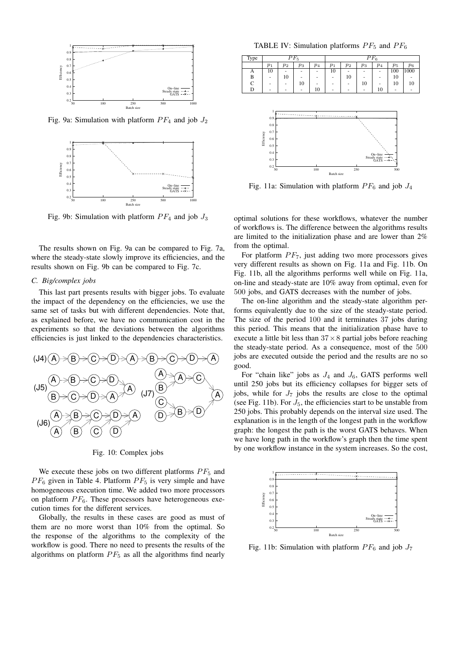

Fig. 9a: Simulation with platform  $PF_4$  and job  $J_2$ 



Fig. 9b: Simulation with platform  $PF_4$  and job  $J_3$ 

The results shown on Fig. 9a can be compared to Fig. 7a, where the steady-state slowly improve its efficiencies, and the results shown on Fig. 9b can be compared to Fig. 7c.

## *C. Big/complex jobs*

This last part presents results with bigger jobs. To evaluate the impact of the dependency on the efficiencies, we use the same set of tasks but with different dependencies. Note that, as explained before, we have no communication cost in the experiments so that the deviations between the algorithms efficiencies is just linked to the dependencies characteristics.



Fig. 10: Complex jobs

We execute these jobs on two different platforms  $PF_5$  and  $PF_6$  given in Table 4. Platform  $PF_5$  is very simple and have homogeneous execution time. We added two more processors on platform  $PF_6$ . These processors have heterogeneous execution times for the different services.

Globally, the results in these cases are good as must of them are no more worst than 10% from the optimal. So the response of the algorithms to the complexity of the workflow is good. There no need to presents the results of the algorithms on platform  $PF_5$  as all the algorithms find nearly

TABLE IV: Simulation platforms  $PF_5$  and  $PF_6$ 





Fig. 11a: Simulation with platform  $PF_6$  and job  $J_4$ 

optimal solutions for these workflows, whatever the number of workflows is. The difference between the algorithms results are limited to the initialization phase and are lower than 2% from the optimal.

For platform  $PF_7$ , just adding two more processors gives very different results as shown on Fig. 11a and Fig. 11b. On Fig. 11b, all the algorithms performs well while on Fig. 11a, on-line and steady-state are 10% away from optimal, even for 500 jobs, and GATS decreases with the number of jobs.

The on-line algorithm and the steady-state algorithm performs equivalently due to the size of the steady-state period. The size of the period 100 and it terminates 37 jobs during this period. This means that the initialization phase have to execute a little bit less than  $37 \times 8$  partial jobs before reaching the steady-state period. As a consequence, most of the 500 jobs are executed outside the period and the results are no so good.

For "chain like" jobs as  $J_4$  and  $J_6$ , GATS performs well until 250 jobs but its efficiency collapses for bigger sets of jobs, while for  $J_7$  jobs the results are close to the optimal (see Fig. 11b). For  $J_5$ , the efficiencies start to be unstable from 250 jobs. This probably depends on the interval size used. The explanation is in the length of the longest path in the workflow graph: the longest the path is the worst GATS behaves. When we have long path in the workflow's graph then the time spent by one workflow instance in the system increases. So the cost,



Fig. 11b: Simulation with platform  $PF_6$  and job  $J_7$